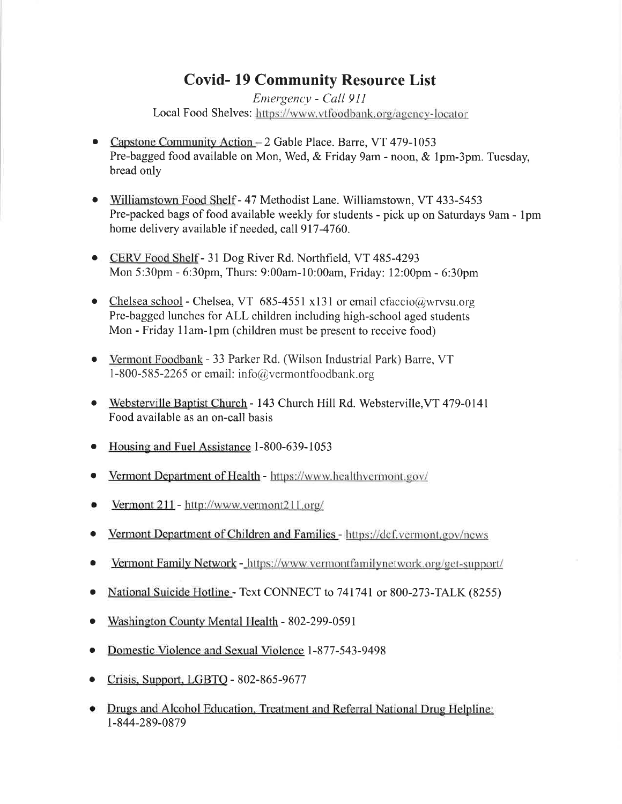#### Covid- 19 Community Resource List

Emergency - Call 911 Local Food Shelves: https://www.vtfoodbank.org/agency-locator

- Capstone Community Action  $-2$  Gable Place. Barre, VT 479-1053 Pre-bagged food available on Mon, Wed, & Friday 9am- noon, & lpm-3pm. Tuesday, bread only
- o Williamstown Food Shelf 47 Methodist Lane. Williamstown, VT 433-5453 Pre-packed bags of food available weekly for students - pick up on Saturdays 9am - lpm home delivery available if needed, call 917-4760.
- **CERV Food Shelf 31 Dog River Rd. Northfield, VT 485-4293** Mon 5:30pm - 6:30pm, Thurs: 9:00am-10:00am, Friday: 12:00pm - 6:30pm
- Chelsea school Chelsea, VT 685-4551 x131 or email cfaccio@wrvsu.org Pre-bagged lunches for ALL children including high-school aged students Mon - Friday 11am-lpm (children must be present to receive food)
- Vermont Foodbank 33 Parker Rd. (Wilson Industrial Park) Barre, VT 1-800-585-2265 or email: info@vermontfoodbank.org
- Websterville Baptist Church 143 Church Hill Rd. Websterville, VT 479-0141 Food available as an on-call basis
- o Housing and Fuel Assistance 1-800-639-1053
- Vermont Department of Health https://www.healthvermont.gov/
- $\bullet$  Vermont 211 http://www.vermont211.org/
- Vermont Department of Children and Families https://dcf.vermont.gov/news
- Vermont Family Network https://www.vermontfamilynetwork.org/get-support/
- Mational Suicide Hotline Text CONNECT to 741741 or 800-273-TALK (8255)
- o Washington County Mental Health 802-299-0591
- Domestic Violence and Sexual Violence 1-877-543-9498
- Crisis, Support, LGBTQ 802-865-9677
- . Drugs and Alcohol Education. Treatment and Referral National Drug Helpline: I-844-289-0879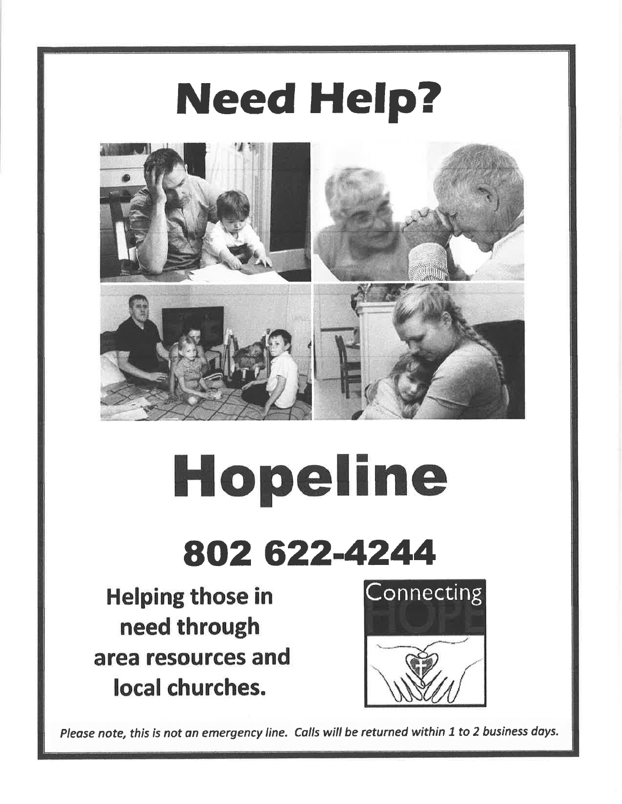## Need Help?



# Hopeline

### 802622-4244

Helping those in need through area resources and local churches.



Please note, this is not an emergency line. Calls will be returned within 1 to 2 business days.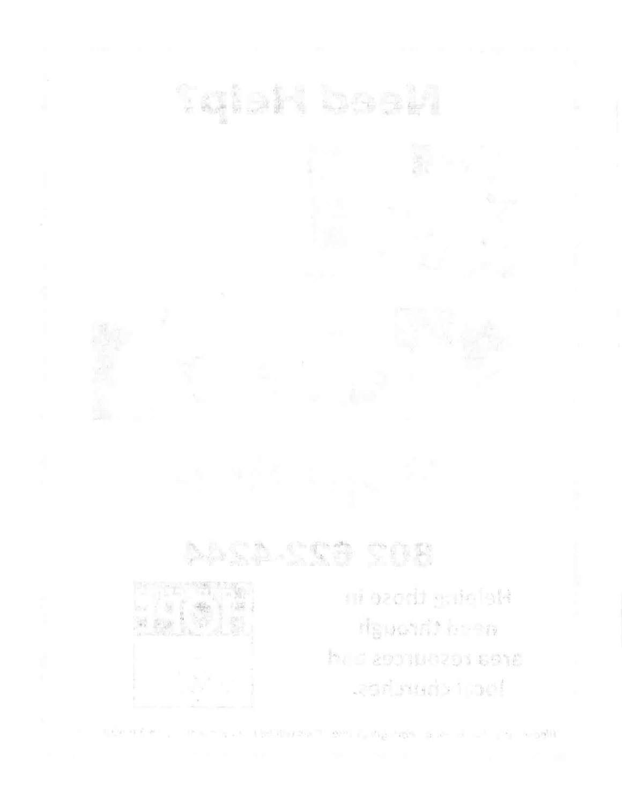

**AASA STOR** 



The C. He Research Will Light State and Discussion and Manuscription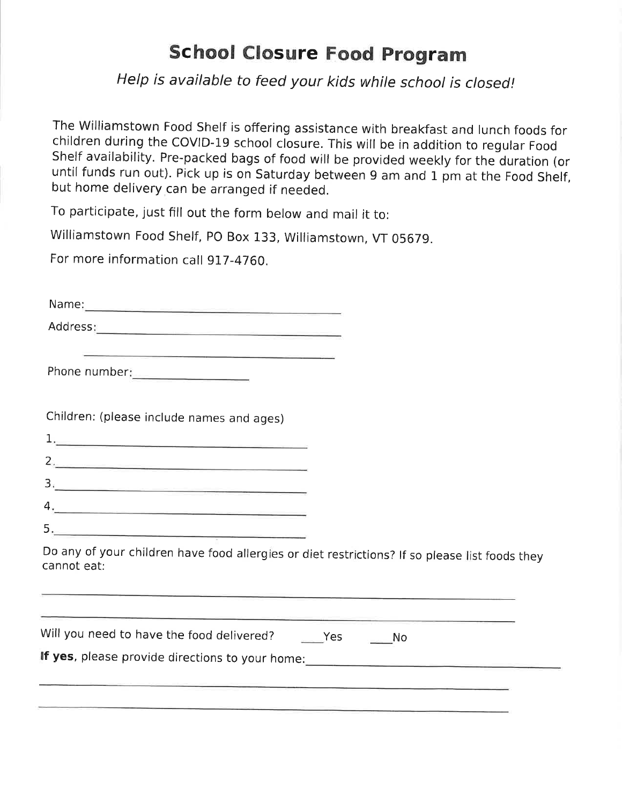### School Closure Food program

Help is available to feed your kids while school is closed!

The Williamstown Food Shelf is offering assistance with breakfast and lunch foods for children during the COVID-19 school closure. This will be in addition to regular Food Shelf availability. Pre-packed bags of food will be provided weekly for the duration (or until funds run out). Pick up is on Saturday between 9 am and 1 pm at the Food Shelf, but home delivery can be arranged if needed,

To participate, just fill out the form below and mail it to:

Williamstown Food Shelf, PO Box 133, Williamstown, VT 05679.

For more information call 917-4760.

| Name: 2008 - 2008 - 2008 - 2008 - 2010 - 2010 - 2010 - 2011 - 2012 - 2012 - 2013 - 2014 - 2014 - 2014 - 2014 -                                                        |
|-----------------------------------------------------------------------------------------------------------------------------------------------------------------------|
|                                                                                                                                                                       |
| <u> 1989 - An t-An Aonaichte ann an t-An Aonaichte ann an t-An Aonaichte ann an t-An Aonaichte ann an t-An Aonaich</u><br>Phone number: 2000 Manuscript Phone number: |
| Children: (please include names and ages)                                                                                                                             |
| 1.                                                                                                                                                                    |
| $\overline{\mathbf{c}}$                                                                                                                                               |
| 3.                                                                                                                                                                    |
| 4.                                                                                                                                                                    |
| $5.$                                                                                                                                                                  |
| Do any of your children have food allergies or diet restrictions? If so please list foods they<br>cannot eat:                                                         |
| Will you need to have the food delivered? ______Yes ______No                                                                                                          |
|                                                                                                                                                                       |